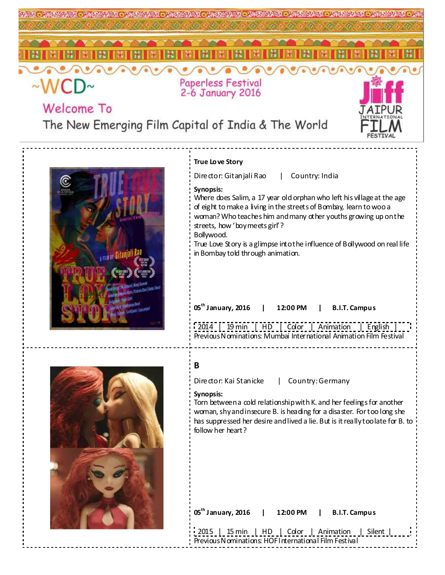

woman, shy and insecure B. is heading for a disaster. For too long she has suppressed her desire and lived a lie. But is it really too late for B. to follow her heart?

**05th January, 2016 | 12:00 PM | B.I.T. Campus**  2015 | 15 min | HD | Color | Animation | Silent | Previous Nominations: HOF International Film Festival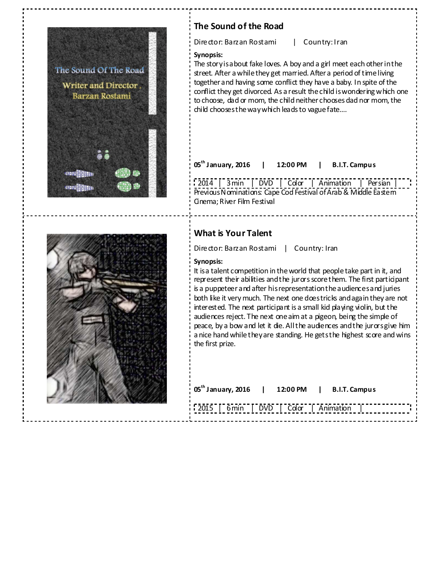

# **The Sound of the Road**

Director: Barzan Rostami | Country: Iran

### **Synopsis:**

The story is about fake loves. A boy and a girl meet each other in the street. After a while they get married. After a period of time living together and having some conflict they have a baby. In spite of the conflict they get divorced. As a result the child is wondering which one to choose, dad or mom, the child neither chooses dad nor mom, the child chooses the way which leads to vague fate….

**05th January, 2016 | 12:00 PM | B.I.T. Campus** 

2014 | 3 min | DVD | Color | Animation | Persian | Previous Nominations: Cape Cod Festival of Arab & Middle Eastern Cinema; River Film Festival



## **What is Your Talent**

Director: Barzan Rostami | Country: Iran

## **Synopsis:**

It is a talent competition in the world that people take part in it, and represent their abilities and the jurors score them. The first participant is a puppeteer and after his representation the audiences and juries both like it very much. The next one does tricks and again they are not interested. The next participant is a small kid playing violin, but the audiences reject. The next one aim at a pigeon, being the simple of peace, by a bow and let it die. All the audiences and the jurors give him a nice hand while they are standing. He gets the highest score and wins the first prize.

| 05 <sup>th</sup> January, 2016   12:00 PM   B.I.T. Campus |  |  |  |
|-----------------------------------------------------------|--|--|--|
| [2015   6 min   DVD   Color   Animation                   |  |  |  |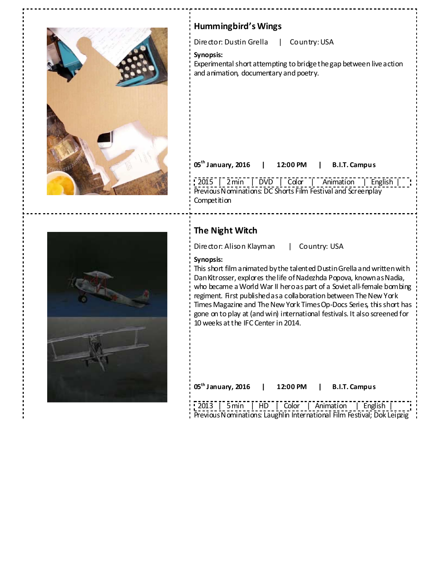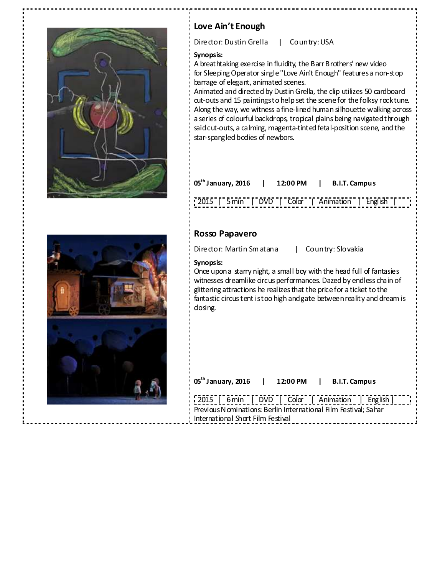

# **Love Ain't Enough**

Director: Dustin Grella | Country: USA

## **Synopsis:**

A breathtaking exercise in fluidity, the Barr Brothers' new video for Sleeping Operator single "Love Ain't Enough" features a non-stop barrage of elegant, animated scenes.

Animated and directed by Dustin Grella, the clip utilizes 50 cardboard cut-outs and 15 paintings to help set the scene for the folksy rock tune. Along the way, we witness a fine-lined human silhouette walking across a series of colourful backdrops, tropical plains being navigated through said cut-outs, a calming, magenta-tinted fetal-position scene, and the star-spangled bodies of newbors.

| $05^{\text{th}}$ January, 2016 | 12:00 PM | B.I.T. Campus |
|--------------------------------|----------|---------------|
|                                |          |               |

2015 | 5 min | DVD | Color | Animation | English

## **Rosso Papavero**

Director: Martin Sm atana | Country: Slovakia

## **Synopsis:**

Once upon a starry night, a small boy with the head full of fantasies witnesses dreamlike circus performances. Dazed by endless chain of glittering attractions he realizes that the price for a ticket to the fantastic circus tent is too high and gate between reality and dream is closing.

| 05 <sup>th</sup> January, 2016   12:00 PM   B.I.T. Campus                                            |  |                                                  |  |
|------------------------------------------------------------------------------------------------------|--|--------------------------------------------------|--|
| Previous Nominations: Berlin International Film Festival; Sahar<br>International Short Film Festival |  | 2015   6 min   DVD   Color   Animation   English |  |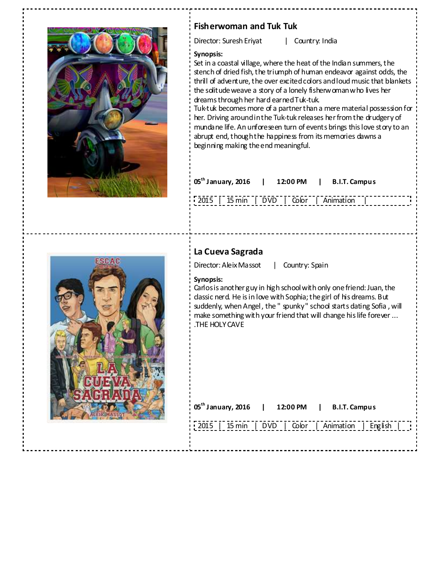

# **Fisherwoman and Tuk Tuk**

Director: Suresh Eriyat | Country: India

## **Synopsis:**

Set in a coastal village, where the heat of the Indian summers, the stench of dried fish, the triumph of human endeavor against odds, the thrill of adventure, the over excited colors and loud music that blankets the solitude weave a story of a lonely fisherwoman who lives her dreams through her hard earned Tuk-tuk.

Tuk-tuk becomes more of a partner than a mere material possession for her. Driving around in the Tuk-tuk releases her from the drudgery of mundane life. An unforeseen turn of events brings this love story to an abrupt end, though the happiness from its memories dawns a beginning making the end meaningful.

| $05^{th}$ January, 2016   12:00 PM   B.I.T. Campus |  |  |
|----------------------------------------------------|--|--|
| [2015   15 min   DVD   Color   Animation           |  |  |



# **La Cueva Sagrada**

Director: Aleix Massot | Country: Spain

## **Synopsis:**

Carlos is another guy in high school with only one friend: Juan, the classic nerd. He is in love with Sophia; the girl of his dreams. But suddenly, when Angel , the " spunky " school starts dating Sofia , will make something with your friend that will change his life forever ... .THE HOLY CAVE

| $05^{th}$ January, 2016   12:00 PM   B.I.T. Campus |  |                                                   |
|----------------------------------------------------|--|---------------------------------------------------|
|                                                    |  | 2015   15 min   DVD   Color   Animation   English |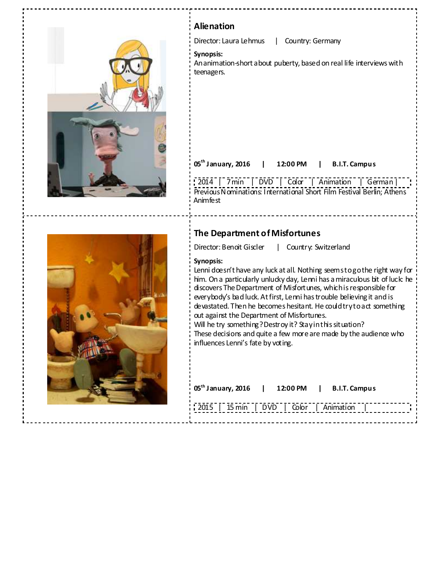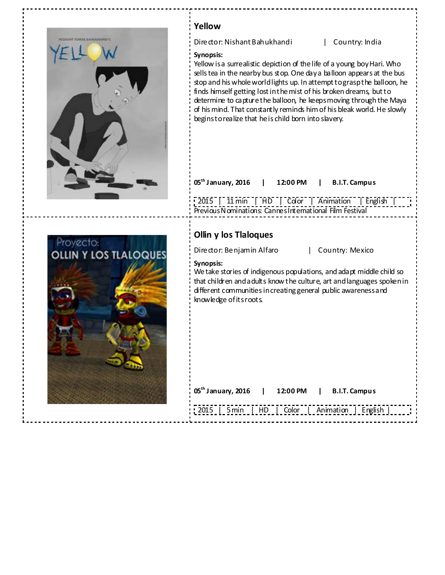| <b>HESHAHT XUKAR SAHOUHAHSET</b>   | Yellow<br>Director: Nishant Bahukhandi<br>Country: India<br>Synopsis:<br>Yellow is a surrealistic depiction of the life of a young boy Hari. Who<br>sells tea in the nearby bus stop. One day a balloon appears at the bus<br>stop and his whole world lights up. In attempt to grasp the balloon, he<br>finds himself getting lost in the mist of his broken dreams, but to<br>determine to capture the balloon, he keeps moving through the Maya<br>of his mind. That constantly reminds him of his bleak world. He slowly<br>beginstorealize that he is child born into slavery. |
|------------------------------------|-------------------------------------------------------------------------------------------------------------------------------------------------------------------------------------------------------------------------------------------------------------------------------------------------------------------------------------------------------------------------------------------------------------------------------------------------------------------------------------------------------------------------------------------------------------------------------------|
|                                    | 05 <sup>th</sup> January, 2016<br>12:00 PM<br><b>B.I.T. Campus</b><br>$\lceil 2015 \rceil$ 11 min $\lceil$ HD $\rceil$ Color $\rceil$ Animation $\rceil$ English $\rceil$                                                                                                                                                                                                                                                                                                                                                                                                           |
| Proyecto:<br>OLLIN Y LOS TLALOQUES | Previous Nominations: Cannes International Film Festival<br>Ollin y los Tlaloques<br>Director: Benjamin Alfaro<br>Country: Mexico<br>Synopsis:<br>We take stories of indigenous populations, and adapt middle child so<br>that children and a dults know the culture, art and languages spoken in<br>different communities in creating general public awareness and<br>knowledge of itsroots.                                                                                                                                                                                       |
|                                    | $05^{\text{th}}$ January, 2016<br>12:00 PM<br><b>B.I.T. Campus</b>                                                                                                                                                                                                                                                                                                                                                                                                                                                                                                                  |
|                                    | 5 min<br>Color<br>Animation<br>2015<br>English<br>HD                                                                                                                                                                                                                                                                                                                                                                                                                                                                                                                                |

 $\frac{1}{2} \frac{1}{2} \frac{1}{2} \frac{1}{2} \frac{1}{2} \frac{1}{2} \frac{1}{2} \frac{1}{2} \frac{1}{2} \frac{1}{2} \frac{1}{2} \frac{1}{2} \frac{1}{2} \frac{1}{2} \frac{1}{2} \frac{1}{2} \frac{1}{2} \frac{1}{2} \frac{1}{2} \frac{1}{2} \frac{1}{2} \frac{1}{2} \frac{1}{2} \frac{1}{2} \frac{1}{2} \frac{1}{2} \frac{1}{2} \frac{1}{2} \frac{1}{2} \frac{1}{2} \frac{1}{2} \frac{$ 

-----

 $- - - - - -$ 

 $\frac{1}{2} \frac{1}{2} \frac{1}{2} \frac{1}{2} \frac{1}{2} \frac{1}{2} \frac{1}{2} \frac{1}{2} \frac{1}{2} \frac{1}{2} \frac{1}{2} \frac{1}{2} \frac{1}{2} \frac{1}{2} \frac{1}{2} \frac{1}{2} \frac{1}{2} \frac{1}{2} \frac{1}{2} \frac{1}{2} \frac{1}{2} \frac{1}{2} \frac{1}{2} \frac{1}{2} \frac{1}{2} \frac{1}{2} \frac{1}{2} \frac{1}{2} \frac{1}{2} \frac{1}{2} \frac{1}{2} \frac{$ 

 $\cdots\cdots\cdots$ 

--------------------

 $\frac{1}{2}$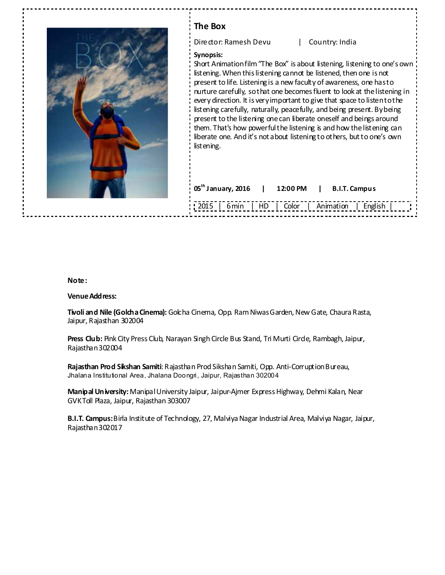| The Box                                                                                                                                                                                                                                                                                                                                                                                                                                                                                                                                                                                                                                                                                                                                                                                |
|----------------------------------------------------------------------------------------------------------------------------------------------------------------------------------------------------------------------------------------------------------------------------------------------------------------------------------------------------------------------------------------------------------------------------------------------------------------------------------------------------------------------------------------------------------------------------------------------------------------------------------------------------------------------------------------------------------------------------------------------------------------------------------------|
| Director: Ramesh Devu<br>Country: India                                                                                                                                                                                                                                                                                                                                                                                                                                                                                                                                                                                                                                                                                                                                                |
| Synopsis:<br>Short Animation film "The Box" is about listening, listening to one's own<br>listening. When this listening cannot be listened, then one is not<br>present to life. Listening is a new faculty of awareness, one has to<br>nurture carefully, so that one becomes fluent to look at the listening in<br>every direction. It is very important to give that space to listent othe<br>listening carefully, naturally, peacefully, and being present. By being<br>present to the listening one can liberate oneself and beings around<br>them. That's how powerful the listening is and how the listening can<br>liberate one. And it's not about listening to others, but to one's own<br>list ening.<br>$05^{\text{th}}$ January, 2016<br>12:00 PM<br><b>B.I.T. Campus</b> |
| 2015   6 min   HD   Color   Animation   English                                                                                                                                                                                                                                                                                                                                                                                                                                                                                                                                                                                                                                                                                                                                        |

-------------------

### **Note:**

#### **Venue Address:**

**Tivoli and Nile (Golcha Cinema):** Golcha Cinema, Opp. Ram Niwas Garden, New Gate, Chaura Rasta, Jaipur, Rajasthan 302004

Press Club: Pink City Press Club, Narayan Singh Circle Bus Stand, Tri Murti Circle, Rambagh, Jaipur, Rajasthan 302004

**Rajasthan Prod Sikshan Samiti**: Rajasthan Prod Sikshan Samiti, Opp. Anti-Corruption Bureau, Jhalana Institutional Area, Jhalana Doongri, Jaipur, Rajasthan 302004

**Manipal University:** Manipal University Jaipur, Jaipur-Ajmer Express Highway, Dehmi Kalan, Near GVK Toll Plaza, Jaipur, Rajasthan 303007

**B.I.T. Campus:** Birla Institute of Technology, 27, Malviya Nagar Industrial Area, Malviya Nagar, Jaipur, Rajasthan 302017